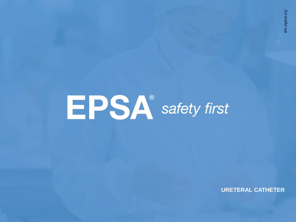# **EPSA**<sup>®</sup> safety first

**URETERAL CATHETER**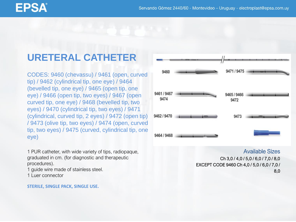## EPSA

## **URETERAL CATHETER**

CODES: 9460 (chevassu) / 9461 (open, curved tip) / 9462 (cylindrical tip, one eye) / 9464 (bevelled tip, one eye) / 9465 (open tip, one eye) / 9466 (open tip, two eyes) / 9467 (open curved tip, one eye) / 9468 (bevelled tip, two eyes) / 9470 (cylindrical tip, two eyes) / 9471 (cylindrical, curved tip, 2 eyes) / 9472 (open tip) / 9473 (olive tip, two eyes) / 9474 (open, curved tip, two eyes) / 9475 (curved, cylindrical tip, one eye)

1 PUR catheter, with wide variety of tips, radiopaque, graduated in cm. (for diagnostic and therapeutic procedures).

1 guide wire made of stainless steel.

1 Luer connector

#### **STERILE, SINGLE PACK, SINGLE USE.**



Available Sizes Ch 3,0 / 4,0 / 5,0 / 6,0 / 7,0 / 8,0 EXCEPT CODE 9460 Ch 4,0 / 5,0 / 6,0 / 7,0 / 8,0